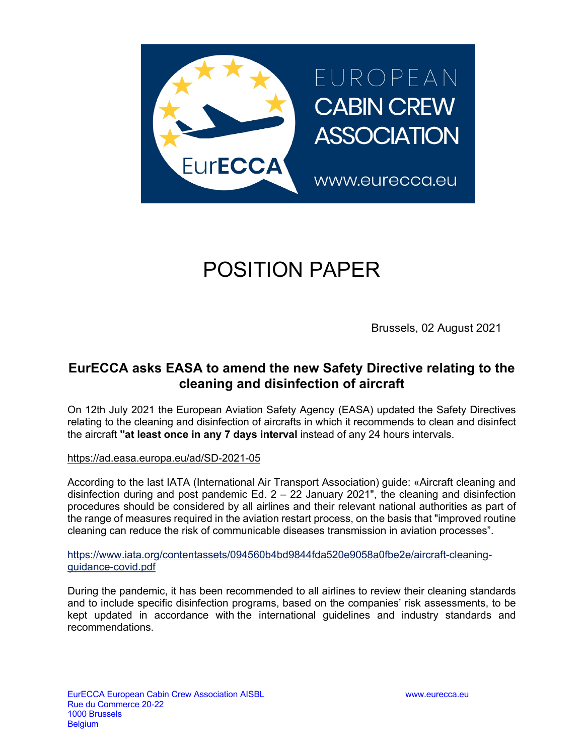

# POSITION PAPER

Brussels, 02 August 2021

### **EurECCA asks EASA to amend the new Safety Directive relating to the cleaning and disinfection of aircraft**

On 12th July 2021 the European Aviation Safety Agency (EASA) updated the Safety Directives relating to the cleaning and disinfection of aircrafts in which it recommends to clean and disinfect the aircraft **"at least once in any 7 days interval** instead of any 24 hours intervals.

#### https://ad.easa.europa.eu/ad/SD-2021-05

According to the last IATA (International Air Transport Association) guide: «Aircraft cleaning and disinfection during and post pandemic Ed.  $2 - 22$  January 2021", the cleaning and disinfection procedures should be considered by all airlines and their relevant national authorities as part of the range of measures required in the aviation restart process, on the basis that "improved routine cleaning can reduce the risk of communicable diseases transmission in aviation processes".

https://www.iata.org/contentassets/094560b4bd9844fda520e9058a0fbe2e/aircraft-cleaningguidance-covid.pdf

During the pandemic, it has been recommended to all airlines to review their cleaning standards and to include specific disinfection programs, based on the companies' risk assessments, to be kept updated in accordance with the international guidelines and industry standards and recommendations.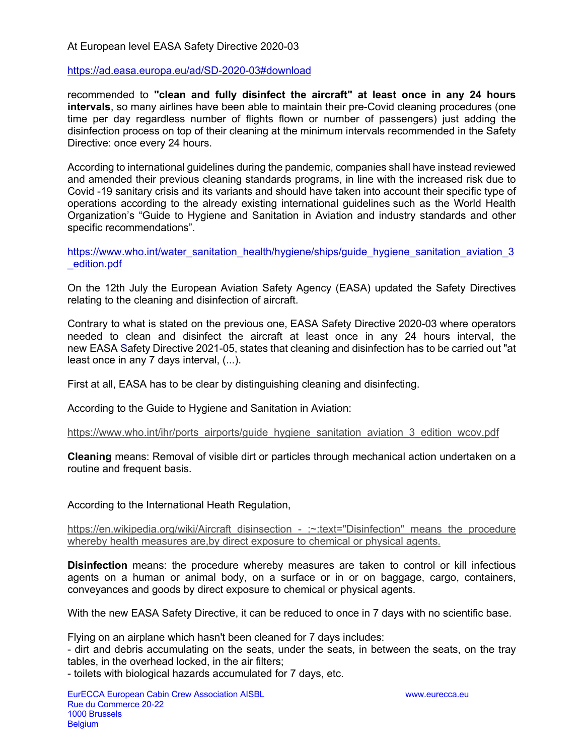#### At European level EASA Safety Directive 2020-03

#### https://ad.easa.europa.eu/ad/SD-2020-03#download

recommended to **"clean and fully disinfect the aircraft" at least once in any 24 hours intervals**, so many airlines have been able to maintain their pre-Covid cleaning procedures (one time per day regardless number of flights flown or number of passengers) just adding the disinfection process on top of their cleaning at the minimum intervals recommended in the Safety Directive: once every 24 hours.

According to international guidelines during the pandemic, companies shall have instead reviewed and amended their previous cleaning standards programs, in line with the increased risk due to Covid -19 sanitary crisis and its variants and should have taken into account their specific type of operations according to the already existing international guidelines such as the World Health Organization's "Guide to Hygiene and Sanitation in Aviation and industry standards and other specific recommendations".

https://www.who.int/water\_sanitation\_health/hygiene/ships/guide\_hygiene\_sanitation\_aviation\_3 \_edition.pdf

On the 12th July the European Aviation Safety Agency (EASA) updated the Safety Directives relating to the cleaning and disinfection of aircraft.

Contrary to what is stated on the previous one, EASA Safety Directive 2020-03 where operators needed to clean and disinfect the aircraft at least once in any 24 hours interval, the new EASA Safety Directive 2021-05, states that cleaning and disinfection has to be carried out "at least once in any 7 days interval, (...).

First at all, EASA has to be clear by distinguishing cleaning and disinfecting.

According to the Guide to Hygiene and Sanitation in Aviation:

https://www.who.int/ihr/ports\_airports/guide\_hygiene\_sanitation\_aviation\_3\_edition\_wcov.pdf

**Cleaning** means: Removal of visible dirt or particles through mechanical action undertaken on a routine and frequent basis.

According to the International Heath Regulation,

https://en.wikipedia.org/wiki/Aircraft\_disinsection - :~:text="Disinfection" means the procedure whereby health measures are,by direct exposure to chemical or physical agents.

**Disinfection** means: the procedure whereby measures are taken to control or kill infectious agents on a human or animal body, on a surface or in or on baggage, cargo, containers, conveyances and goods by direct exposure to chemical or physical agents.

With the new EASA Safety Directive, it can be reduced to once in 7 days with no scientific base.

Flying on an airplane which hasn't been cleaned for 7 days includes:

- dirt and debris accumulating on the seats, under the seats, in between the seats, on the tray tables, in the overhead locked, in the air filters;

- toilets with biological hazards accumulated for 7 days, etc.